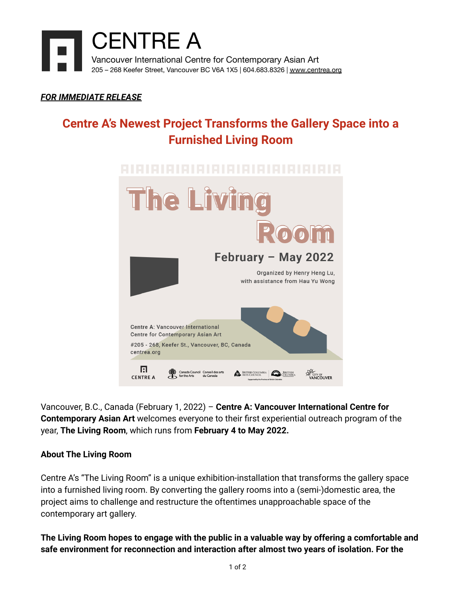

## *FOR IMMEDIATE RELEASE*

# **Centre A's Newest Project Transforms the Gallery Space into a Furnished Living Room**



Vancouver, B.C., Canada (February 1, 2022) – **Centre A: Vancouver International Centre for Contemporary Asian Art** welcomes everyone to their first experiential outreach program of the year, **The Living Room**, which runs from **February 4 to May 2022.**

### **About The Living Room**

Centre A's "The Living Room" is a unique exhibition-installation that transforms the gallery space into a furnished living room. By converting the gallery rooms into a (semi-)domestic area, the project aims to challenge and restructure the oftentimes unapproachable space of the contemporary art gallery.

**The Living Room hopes to engage with the public in a valuable way by offering a comfortable and safe environment for reconnection and interaction after almost two years of isolation. For the**